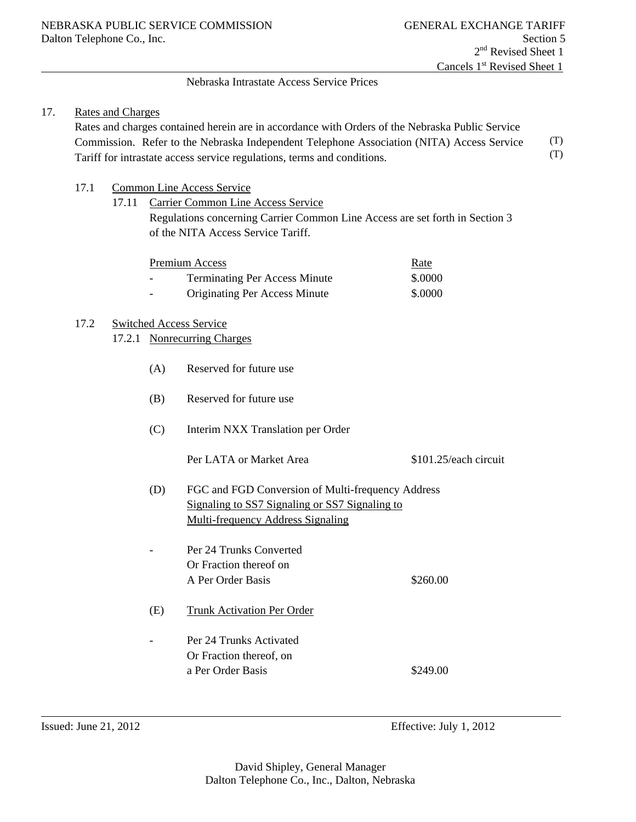#### Nebraska Intrastate Access Service Prices

#### 17. Rates and Charges

 Rates and charges contained herein are in accordance with Orders of the Nebraska Public Service Commission. Refer to the Nebraska Independent Telephone Association (NITA) Access Service Tariff for intrastate access service regulations, terms and conditions. (T) (T)

- 17.1 Common Line Access Service
	- 17.11 Carrier Common Line Access Service Regulations concerning Carrier Common Line Access are set forth in Section 3 of the NITA Access Service Tariff.

|                | Premium Access                       | <u>Rate</u> |
|----------------|--------------------------------------|-------------|
| $\overline{a}$ | <b>Terminating Per Access Minute</b> | \$.0000     |
| $\sim$         | <b>Originating Per Access Minute</b> | \$.0000     |

#### 17.2 Switched Access Service

- 17.2.1 Nonrecurring Charges
	- (A) Reserved for future use
	- (B) Reserved for future use
	- (C) Interim NXX Translation per Order

Per LATA or Market Area  $$101.25$ /each circuit

- (D) FGC and FGD Conversion of Multi-frequency Address Signaling to SS7 Signaling or SS7 Signaling to Multi-frequency Address Signaling
- Per 24 Trunks Converted Or Fraction thereof on A Per Order Basis \$260.00
- (E) Trunk Activation Per Order
	- Per 24 Trunks Activated Or Fraction thereof, on a Per Order Basis \$249.00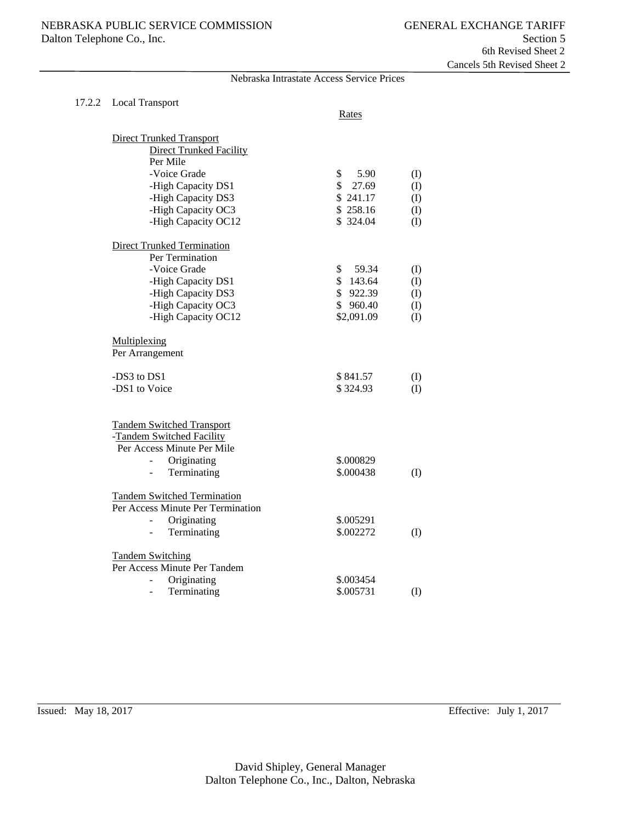| 17.2.2 Local Transport                                                                                                                                                  | Rates                  |     |
|-------------------------------------------------------------------------------------------------------------------------------------------------------------------------|------------------------|-----|
| <b>Direct Trunked Transport</b><br><b>Direct Trunked Facility</b><br>Per Mile                                                                                           |                        |     |
| -Voice Grade                                                                                                                                                            | \$<br>5.90             |     |
|                                                                                                                                                                         | \$27.69                | (I) |
| -High Capacity DS1                                                                                                                                                      | \$241.17               | (I) |
| -High Capacity DS3                                                                                                                                                      |                        | (I) |
| -High Capacity OC3                                                                                                                                                      | \$258.16               | (I) |
| -High Capacity OC12                                                                                                                                                     | \$324.04               | (I) |
| <b>Direct Trunked Termination</b>                                                                                                                                       |                        |     |
| Per Termination                                                                                                                                                         |                        |     |
| -Voice Grade                                                                                                                                                            | \$<br>59.34            | (I) |
| -High Capacity DS1                                                                                                                                                      | \$143.64               | (I) |
| -High Capacity DS3                                                                                                                                                      | \$922.39               | (I) |
| -High Capacity OC3                                                                                                                                                      | \$960.40               | (I) |
| -High Capacity OC12                                                                                                                                                     | \$2,091.09             | (I) |
| Multiplexing<br>Per Arrangement                                                                                                                                         |                        |     |
| -DS3 to DS1                                                                                                                                                             | \$841.57               | (I) |
| -DS1 to Voice                                                                                                                                                           | \$324.93               | (I) |
|                                                                                                                                                                         |                        |     |
| <b>Tandem Switched Transport</b><br>-Tandem Switched Facility<br>Per Access Minute Per Mile<br>Originating<br>$\overline{a}$<br>Terminating<br>$\overline{\phantom{0}}$ | \$.000829<br>\$.000438 | (I) |
| <b>Tandem Switched Termination</b><br>Per Access Minute Per Termination<br>Originating<br>$\overline{a}$                                                                | \$.005291              |     |
| Terminating<br>$\equiv$                                                                                                                                                 | \$.002272              | (I) |
| <b>Tandem Switching</b><br>Per Access Minute Per Tandem                                                                                                                 |                        |     |
| Originating<br>$\overline{a}$                                                                                                                                           | \$.003454              |     |
| Terminating<br>$\overline{a}$                                                                                                                                           | \$.005731              | (1) |

Nebraska Intrastate Access Service Prices

 $\overline{a}$ 

Issued: May 18, 2017 Effective: July 1, 2017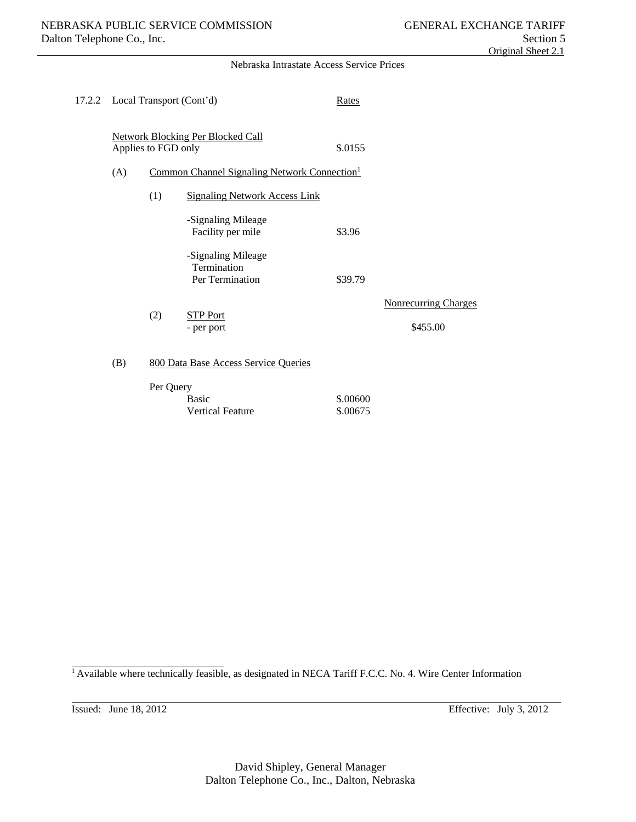#### Nebraska Intrastate Access Service Prices

| 17.2.2 Local Transport (Cont'd) |                     |                                                                                                                                         | Rates                |                                         |
|---------------------------------|---------------------|-----------------------------------------------------------------------------------------------------------------------------------------|----------------------|-----------------------------------------|
| (A)                             | Applies to FGD only | <b>Network Blocking Per Blocked Call</b><br>Common Channel Signaling Network Connection <sup>1</sup>                                    | \$.0155              |                                         |
|                                 | (1)                 | <b>Signaling Network Access Link</b><br>-Signaling Mileage<br>Facility per mile<br>-Signaling Mileage<br>Termination<br>Per Termination | \$3.96<br>\$39.79    |                                         |
|                                 | (2)                 | <b>STP Port</b><br>- per port                                                                                                           |                      | <b>Nonrecurring Charges</b><br>\$455.00 |
| (B)                             |                     | 800 Data Base Access Service Queries                                                                                                    |                      |                                         |
|                                 | Per Query           | <b>Basic</b><br><b>Vertical Feature</b>                                                                                                 | \$.00600<br>\$.00675 |                                         |

<sup>1</sup> Available where technically feasible, as designated in NECA Tariff F.C.C. No. 4. Wire Center Information

 $\overline{a}$ 

l

Issued: June 18, 2012 Effective: July 3, 2012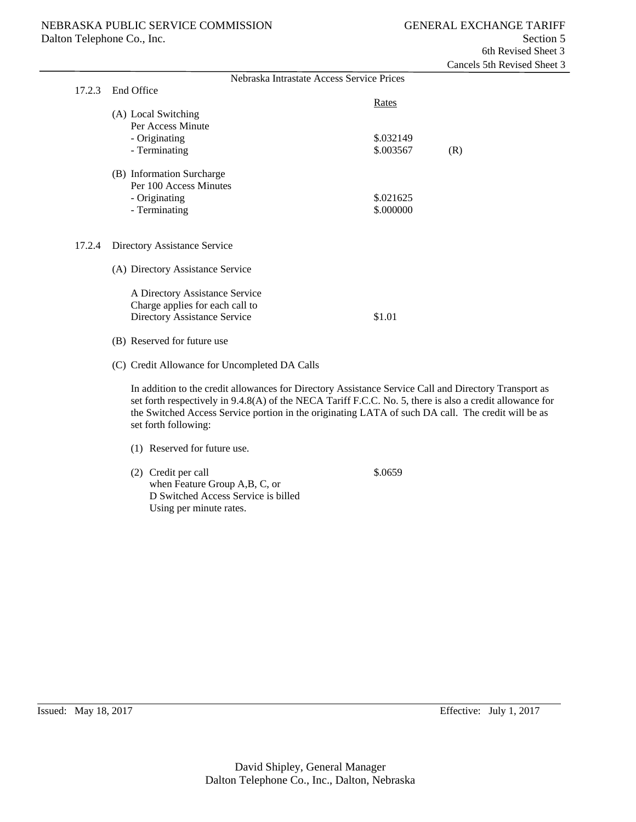|        |                                                                                                                                                                                                                                                                                                                                                 |                                           | Caliculo Juli Reviscu dilcu |
|--------|-------------------------------------------------------------------------------------------------------------------------------------------------------------------------------------------------------------------------------------------------------------------------------------------------------------------------------------------------|-------------------------------------------|-----------------------------|
|        |                                                                                                                                                                                                                                                                                                                                                 | Nebraska Intrastate Access Service Prices |                             |
| 17.2.3 | End Office                                                                                                                                                                                                                                                                                                                                      |                                           |                             |
|        |                                                                                                                                                                                                                                                                                                                                                 | Rates                                     |                             |
|        | (A) Local Switching                                                                                                                                                                                                                                                                                                                             |                                           |                             |
|        | Per Access Minute                                                                                                                                                                                                                                                                                                                               |                                           |                             |
|        | - Originating                                                                                                                                                                                                                                                                                                                                   | \$.032149                                 |                             |
|        | - Terminating                                                                                                                                                                                                                                                                                                                                   | \$.003567                                 | (R)                         |
|        | (B) Information Surcharge                                                                                                                                                                                                                                                                                                                       |                                           |                             |
|        | Per 100 Access Minutes                                                                                                                                                                                                                                                                                                                          |                                           |                             |
|        | - Originating                                                                                                                                                                                                                                                                                                                                   | \$.021625                                 |                             |
|        | - Terminating                                                                                                                                                                                                                                                                                                                                   | \$.000000                                 |                             |
| 17.2.4 | Directory Assistance Service                                                                                                                                                                                                                                                                                                                    |                                           |                             |
|        | (A) Directory Assistance Service                                                                                                                                                                                                                                                                                                                |                                           |                             |
|        | A Directory Assistance Service                                                                                                                                                                                                                                                                                                                  |                                           |                             |
|        | Charge applies for each call to                                                                                                                                                                                                                                                                                                                 |                                           |                             |
|        | Directory Assistance Service                                                                                                                                                                                                                                                                                                                    | \$1.01                                    |                             |
|        | (B) Reserved for future use                                                                                                                                                                                                                                                                                                                     |                                           |                             |
|        | (C) Credit Allowance for Uncompleted DA Calls                                                                                                                                                                                                                                                                                                   |                                           |                             |
|        | In addition to the credit allowances for Directory Assistance Service Call and Directory Transport as<br>set forth respectively in 9.4.8(A) of the NECA Tariff F.C.C. No. 5, there is also a credit allowance for<br>the Switched Access Service portion in the originating LATA of such DA call. The credit will be as<br>set forth following: |                                           |                             |
|        | (1) Reserved for future use.                                                                                                                                                                                                                                                                                                                    |                                           |                             |
|        | (2) Credit per call<br>when Feature Group A,B, C, or<br>D Switched Access Service is billed<br>Using per minute rates.                                                                                                                                                                                                                          | \$.0659                                   |                             |
|        |                                                                                                                                                                                                                                                                                                                                                 |                                           |                             |

 $\overline{a}$ 

Issued: May 18, 2017 Effective: July 1, 2017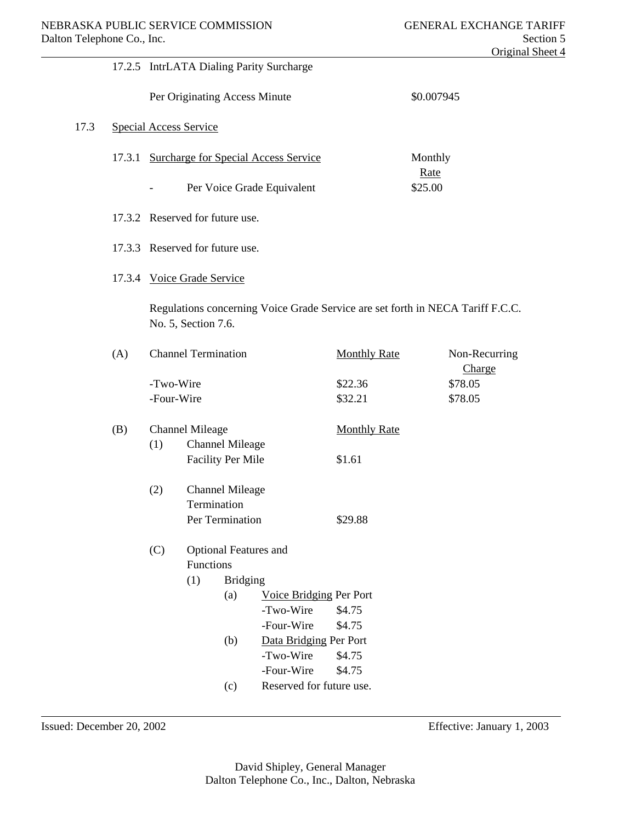|      |     |            |                                 |                              | 17.2.5 IntrLATA Dialing Parity Surcharge    |                                                                                |                 |                         |
|------|-----|------------|---------------------------------|------------------------------|---------------------------------------------|--------------------------------------------------------------------------------|-----------------|-------------------------|
|      |     |            | Per Originating Access Minute   |                              |                                             |                                                                                | \$0.007945      |                         |
| 17.3 |     |            | <b>Special Access Service</b>   |                              |                                             |                                                                                |                 |                         |
|      |     |            |                                 |                              | 17.3.1 Surcharge for Special Access Service |                                                                                | Monthly         |                         |
|      |     |            |                                 |                              | Per Voice Grade Equivalent                  |                                                                                | Rate<br>\$25.00 |                         |
|      |     |            | 17.3.2 Reserved for future use. |                              |                                             |                                                                                |                 |                         |
|      |     |            | 17.3.3 Reserved for future use. |                              |                                             |                                                                                |                 |                         |
|      |     |            | 17.3.4 Voice Grade Service      |                              |                                             |                                                                                |                 |                         |
|      |     |            | No. 5, Section 7.6.             |                              |                                             | Regulations concerning Voice Grade Service are set forth in NECA Tariff F.C.C. |                 |                         |
|      | (A) |            | <b>Channel Termination</b>      |                              |                                             | <b>Monthly Rate</b>                                                            |                 | Non-Recurring<br>Charge |
|      |     | -Two-Wire  |                                 |                              |                                             | \$22.36                                                                        |                 | \$78.05                 |
|      |     | -Four-Wire |                                 |                              |                                             | \$32.21                                                                        |                 | \$78.05                 |
|      | (B) |            | <b>Channel Mileage</b>          |                              |                                             | <b>Monthly Rate</b>                                                            |                 |                         |
|      |     | (1)        |                                 | <b>Channel Mileage</b>       |                                             |                                                                                |                 |                         |
|      |     |            |                                 | <b>Facility Per Mile</b>     |                                             | \$1.61                                                                         |                 |                         |
|      |     | (2)        |                                 | <b>Channel Mileage</b>       |                                             |                                                                                |                 |                         |
|      |     |            | Termination                     |                              |                                             |                                                                                |                 |                         |
|      |     |            |                                 | Per Termination              |                                             | \$29.88                                                                        |                 |                         |
|      |     | (C)        | Functions                       | <b>Optional Features and</b> |                                             |                                                                                |                 |                         |
|      |     |            | (1)                             | <b>Bridging</b>              |                                             |                                                                                |                 |                         |
|      |     |            |                                 | (a)                          | Voice Bridging Per Port                     |                                                                                |                 |                         |
|      |     |            |                                 |                              | -Two-Wire                                   | \$4.75                                                                         |                 |                         |
|      |     |            |                                 |                              | -Four-Wire                                  | \$4.75                                                                         |                 |                         |
|      |     |            |                                 | (b)                          | Data Bridging Per Port                      |                                                                                |                 |                         |
|      |     |            |                                 |                              | -Two-Wire                                   | \$4.75                                                                         |                 |                         |
|      |     |            |                                 |                              | -Four-Wire                                  | \$4.75                                                                         |                 |                         |
|      |     |            |                                 | (c)                          | Reserved for future use.                    |                                                                                |                 |                         |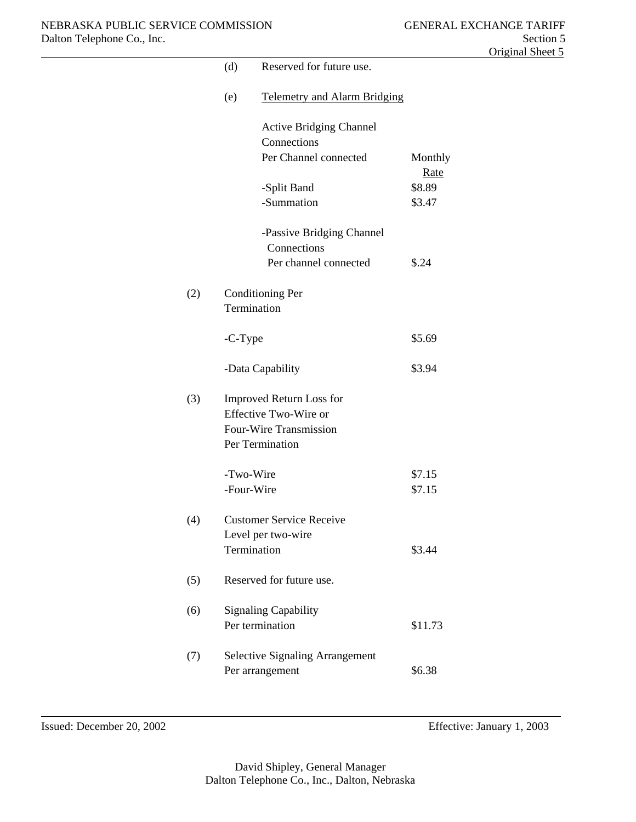|     | (d)     | Reserved for future use.                                                                              |                  |
|-----|---------|-------------------------------------------------------------------------------------------------------|------------------|
|     | (e)     | <b>Telemetry and Alarm Bridging</b>                                                                   |                  |
|     |         | <b>Active Bridging Channel</b><br>Connections                                                         |                  |
|     |         | Per Channel connected                                                                                 | Monthly<br>Rate  |
|     |         | -Split Band                                                                                           | \$8.89           |
|     |         | -Summation                                                                                            | \$3.47           |
|     |         | -Passive Bridging Channel<br>Connections                                                              |                  |
|     |         | Per channel connected                                                                                 | \$.24            |
| (2) |         | <b>Conditioning Per</b><br>Termination                                                                |                  |
|     | -C-Type |                                                                                                       | \$5.69           |
|     |         | -Data Capability                                                                                      | \$3.94           |
| (3) |         | <b>Improved Return Loss for</b><br>Effective Two-Wire or<br>Four-Wire Transmission<br>Per Termination |                  |
|     |         | -Two-Wire<br>-Four-Wire                                                                               | \$7.15<br>\$7.15 |
| (4) |         | <b>Customer Service Receive</b>                                                                       |                  |
|     |         | Level per two-wire<br>Termination                                                                     | \$3.44           |
| (5) |         | Reserved for future use.                                                                              |                  |
| (6) |         | <b>Signaling Capability</b><br>Per termination                                                        | \$11.73          |
| (7) |         | <b>Selective Signaling Arrangement</b><br>Per arrangement                                             | \$6.38           |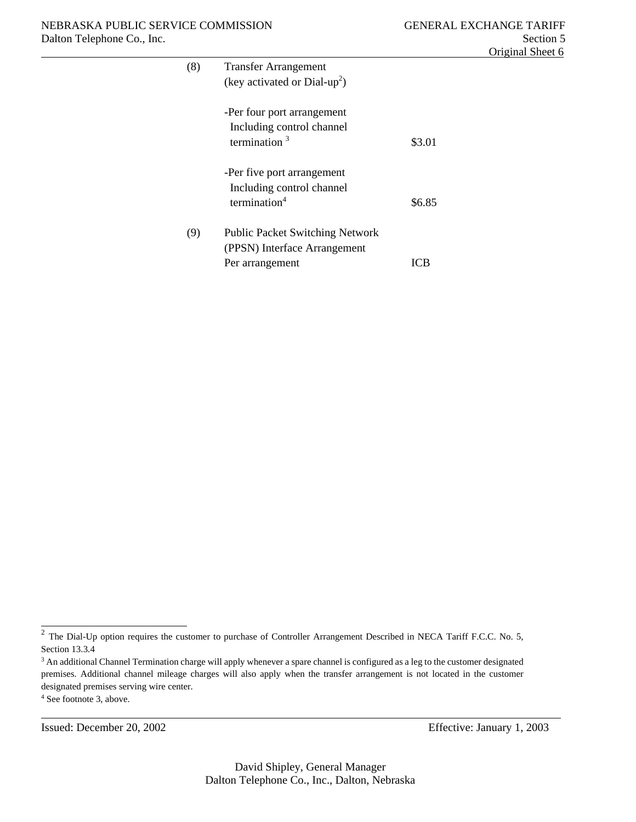| (8) | <b>Transfer Arrangement</b>            |        |
|-----|----------------------------------------|--------|
|     | (key activated or $Dial-up2$ )         |        |
|     |                                        |        |
|     | -Per four port arrangement             |        |
|     | Including control channel              |        |
|     | termination $3$                        | \$3.01 |
|     |                                        |        |
|     | -Per five port arrangement             |        |
|     | Including control channel              |        |
|     | termination $4$                        | \$6.85 |
|     |                                        |        |
| (9) | <b>Public Packet Switching Network</b> |        |
|     | (PPSN) Interface Arrangement           |        |
|     | Per arrangement                        | ICB    |
|     |                                        |        |

l

 $\overline{2}$  The Dial-Up option requires the customer to purchase of Controller Arrangement Described in NECA Tariff F.C.C. No. 5, Section 13.3.4

<sup>&</sup>lt;sup>3</sup> An additional Channel Termination charge will apply whenever a spare channel is configured as a leg to the customer designated premises. Additional channel mileage charges will also apply when the transfer arrangement is not located in the customer designated premises serving wire center. 4 See footnote 3, above.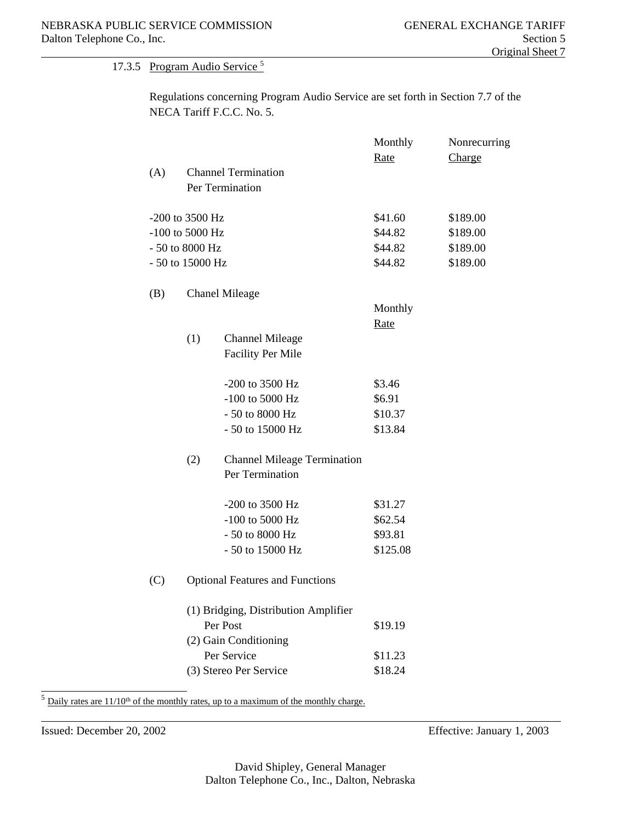### 17.3.5 Program Audio Service 5

 Regulations concerning Program Audio Service are set forth in Section 7.7 of the NECA Tariff F.C.C. No. 5.

|     |                  |                                        | Monthly  | Nonrecurring |
|-----|------------------|----------------------------------------|----------|--------------|
| (A) |                  | <b>Channel Termination</b>             | Rate     | Charge       |
|     |                  | Per Termination                        |          |              |
|     |                  |                                        |          |              |
|     | -200 to 3500 Hz  |                                        | \$41.60  | \$189.00     |
|     | -100 to 5000 Hz  |                                        | \$44.82  | \$189.00     |
|     | - 50 to 8000 Hz  |                                        | \$44.82  | \$189.00     |
|     | - 50 to 15000 Hz |                                        | \$44.82  | \$189.00     |
| (B) |                  | <b>Chanel Mileage</b>                  |          |              |
|     |                  |                                        | Monthly  |              |
|     |                  |                                        | Rate     |              |
|     | (1)              | <b>Channel Mileage</b>                 |          |              |
|     |                  | <b>Facility Per Mile</b>               |          |              |
|     |                  | -200 to 3500 Hz                        | \$3.46   |              |
|     |                  | -100 to 5000 Hz                        | \$6.91   |              |
|     |                  | - 50 to 8000 Hz                        | \$10.37  |              |
|     |                  | - 50 to 15000 Hz                       | \$13.84  |              |
|     | (2)              | <b>Channel Mileage Termination</b>     |          |              |
|     |                  | Per Termination                        |          |              |
|     |                  | -200 to 3500 Hz                        | \$31.27  |              |
|     |                  | -100 to 5000 Hz                        | \$62.54  |              |
|     |                  | - 50 to 8000 Hz                        | \$93.81  |              |
|     |                  | - 50 to 15000 Hz                       | \$125.08 |              |
| (C) |                  | <b>Optional Features and Functions</b> |          |              |
|     |                  | (1) Bridging, Distribution Amplifier   |          |              |
|     |                  | Per Post                               | \$19.19  |              |
|     |                  | (2) Gain Conditioning                  |          |              |
|     |                  | Per Service                            | \$11.23  |              |
|     |                  | (3) Stereo Per Service                 | \$18.24  |              |

 $5$  Daily rates are  $11/10<sup>th</sup>$  of the monthly rates, up to a maximum of the monthly charge.

l

l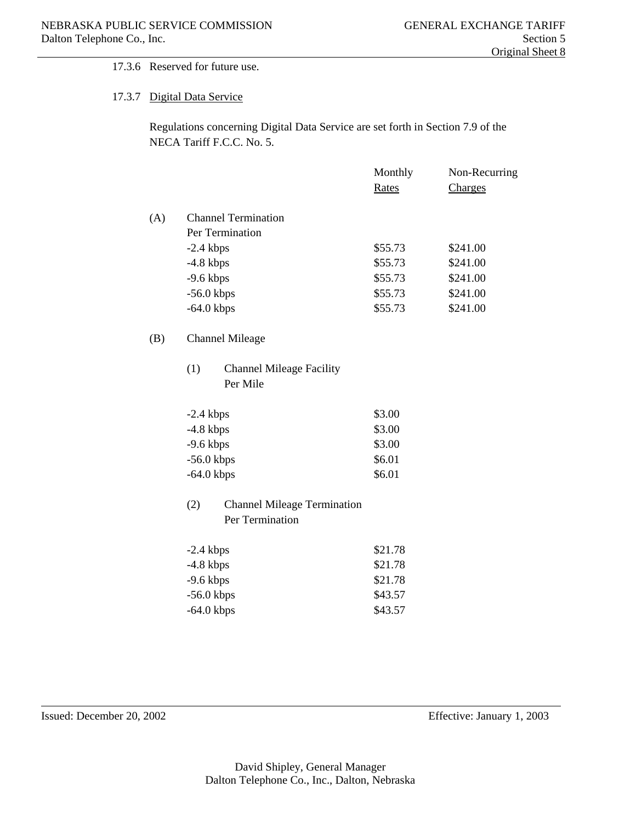#### 17.3.6 Reserved for future use.

#### 17.3.7 Digital Data Service

 Regulations concerning Digital Data Service are set forth in Section 7.9 of the NECA Tariff F.C.C. No. 5.

|     |                                                    | Monthly | Non-Recurring |
|-----|----------------------------------------------------|---------|---------------|
|     |                                                    | Rates   | Charges       |
| (A) | <b>Channel Termination</b>                         |         |               |
|     | Per Termination                                    |         |               |
|     | $-2.4$ kbps                                        | \$55.73 | \$241.00      |
|     | $-4.8$ kbps                                        | \$55.73 | \$241.00      |
|     | $-9.6$ kbps                                        | \$55.73 | \$241.00      |
|     | $-56.0$ kbps                                       | \$55.73 | \$241.00      |
|     | $-64.0$ kbps                                       | \$55.73 | \$241.00      |
| (B) | <b>Channel Mileage</b>                             |         |               |
|     | (1)<br><b>Channel Mileage Facility</b><br>Per Mile |         |               |

| $-2.4$ kbps  | \$3.00 |
|--------------|--------|
| $-4.8$ kbps  | \$3.00 |
| $-9.6$ kbps  | \$3.00 |
| $-56.0$ kbps | \$6.01 |
| $-64.0$ kbps | \$6.01 |

## (2) Channel Mileage Termination Per Termination

| $-2.4$ kbps  | \$21.78 |
|--------------|---------|
| $-4.8$ kbps  | \$21.78 |
| $-9.6$ kbps  | \$21.78 |
| $-56.0$ kbps | \$43.57 |
| $-64.0$ kbps | \$43.57 |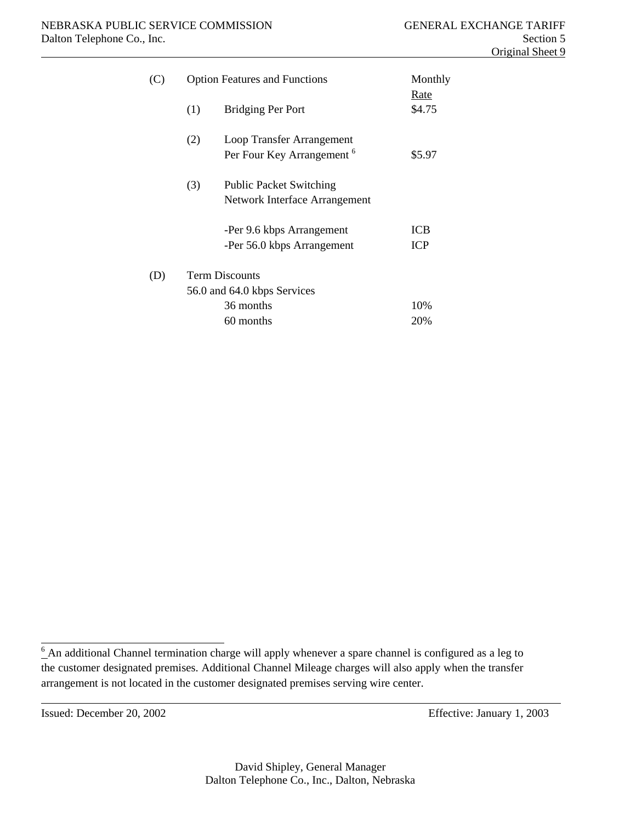| (C) | <b>Option Features and Functions</b> | Monthly                                                            |                   |
|-----|--------------------------------------|--------------------------------------------------------------------|-------------------|
|     | (1)                                  | <b>Bridging Per Port</b>                                           | Rate<br>\$4.75    |
|     | (2)                                  | Loop Transfer Arrangement<br>Per Four Key Arrangement <sup>6</sup> | \$5.97            |
|     | (3)                                  | <b>Public Packet Switching</b><br>Network Interface Arrangement    |                   |
|     |                                      | -Per 9.6 kbps Arrangement<br>-Per 56.0 kbps Arrangement            | ICB<br><b>ICP</b> |
| (D) |                                      | <b>Term Discounts</b><br>56.0 and 64.0 kbps Services               |                   |
|     |                                      | 36 months                                                          | 10%               |
|     |                                      | 60 months                                                          | 20%               |

l

 $6$  An additional Channel termination charge will apply whenever a spare channel is configured as a leg to the customer designated premises. Additional Channel Mileage charges will also apply when the transfer arrangement is not located in the customer designated premises serving wire center.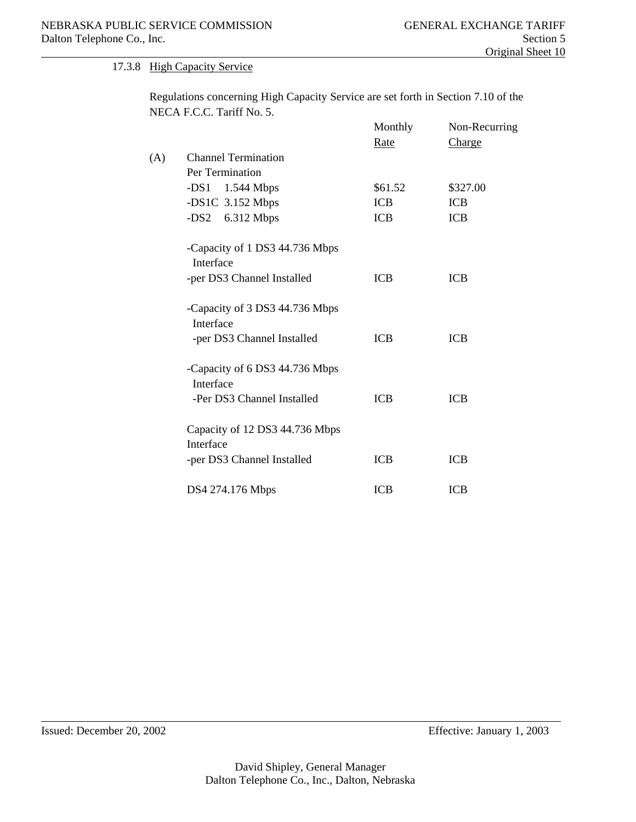#### 17.3.8 High Capacity Service

 Regulations concerning High Capacity Service are set forth in Section 7.10 of the NECA F.C.C. Tariff No. 5.

|     |                                | Monthly    | Non-Recurring |
|-----|--------------------------------|------------|---------------|
|     |                                | Rate       | Charge        |
| (A) | <b>Channel Termination</b>     |            |               |
|     | Per Termination                |            |               |
|     | $-DS1$ 1.544 Mbps              | \$61.52    | \$327.00      |
|     | $-DS1C$ 3.152 Mbps             | <b>ICB</b> | <b>ICB</b>    |
|     | $-DS2$ 6.312 Mbps              | <b>ICB</b> | <b>ICB</b>    |
|     | -Capacity of 1 DS3 44.736 Mbps |            |               |
|     | Interface                      |            |               |
|     | -per DS3 Channel Installed     | <b>ICB</b> | <b>ICB</b>    |
|     | -Capacity of 3 DS3 44.736 Mbps |            |               |
|     | Interface                      |            |               |
|     | -per DS3 Channel Installed     | <b>ICB</b> | <b>ICB</b>    |
|     | -Capacity of 6 DS3 44.736 Mbps |            |               |
|     | Interface                      |            |               |
|     | -Per DS3 Channel Installed     | <b>ICB</b> | <b>ICB</b>    |
|     | Capacity of 12 DS3 44.736 Mbps |            |               |
|     | Interface                      |            |               |
|     | -per DS3 Channel Installed     | ICB        | ICB           |
|     | DS4 274.176 Mbps               | <b>ICB</b> | <b>ICB</b>    |

l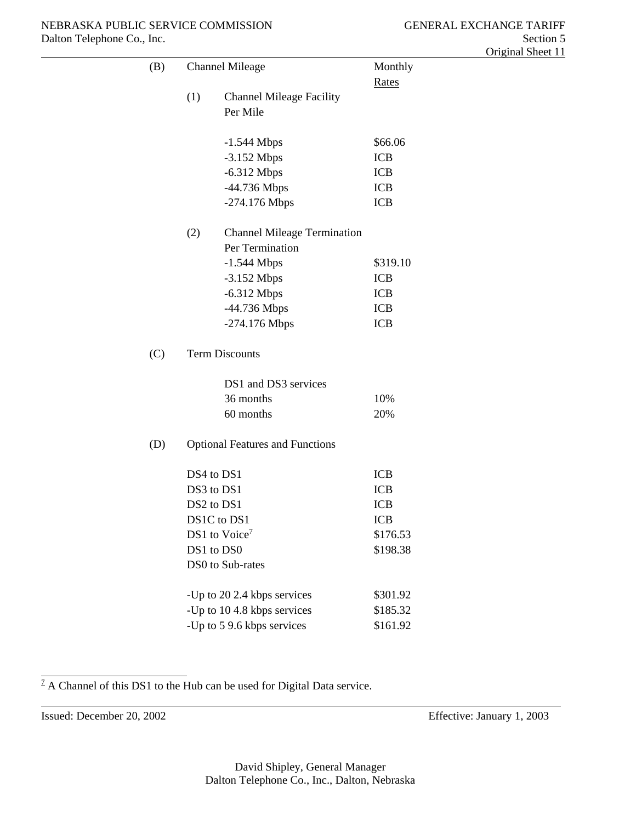| (B) |     | <b>Channel Mileage</b>                 | Monthly      |
|-----|-----|----------------------------------------|--------------|
|     |     |                                        | <b>Rates</b> |
|     | (1) | <b>Channel Mileage Facility</b>        |              |
|     |     | Per Mile                               |              |
|     |     |                                        |              |
|     |     | $-1.544$ Mbps                          | \$66.06      |
|     |     | $-3.152$ Mbps                          | <b>ICB</b>   |
|     |     | $-6.312$ Mbps                          | <b>ICB</b>   |
|     |     | -44.736 Mbps                           | <b>ICB</b>   |
|     |     | -274.176 Mbps                          | <b>ICB</b>   |
|     | (2) | <b>Channel Mileage Termination</b>     |              |
|     |     | Per Termination                        |              |
|     |     | $-1.544$ Mbps                          | \$319.10     |
|     |     | $-3.152$ Mbps                          | <b>ICB</b>   |
|     |     | $-6.312$ Mbps                          | <b>ICB</b>   |
|     |     | -44.736 Mbps                           | <b>ICB</b>   |
|     |     | -274.176 Mbps                          | <b>ICB</b>   |
| (C) |     | <b>Term Discounts</b>                  |              |
|     |     | DS1 and DS3 services                   |              |
|     |     | 36 months                              | 10%          |
|     |     | 60 months                              | 20%          |
| (D) |     | <b>Optional Features and Functions</b> |              |
|     |     | DS4 to DS1                             | <b>ICB</b>   |
|     |     | DS3 to DS1                             | <b>ICB</b>   |
|     |     | DS2 to DS1                             | <b>ICB</b>   |
|     |     | DS1C to DS1                            | <b>ICB</b>   |
|     |     | DS1 to Voice <sup>7</sup>              | \$176.53     |
|     |     | DS1 to DS0                             | \$198.38     |
|     |     | DS0 to Sub-rates                       |              |
|     |     | -Up to 20 2.4 kbps services            | \$301.92     |
|     |     | -Up to 10 4.8 kbps services            | \$185.32     |
|     |     | -Up to 5 9.6 kbps services             | \$161.92     |

 $1/2$  A Channel of this DS1 to the Hub can be used for Digital Data service.

Issued: December 20, 2002 Effective: January 1, 2003

l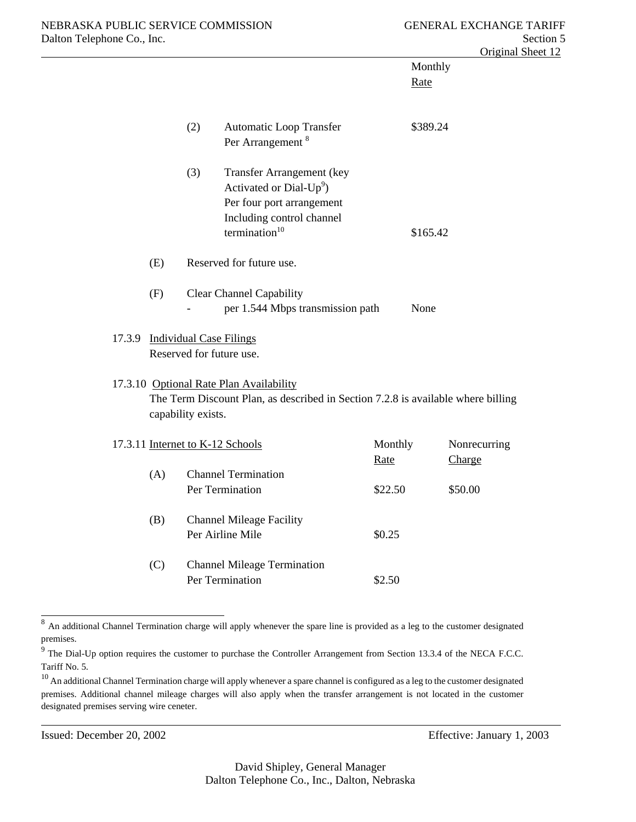|                                |                          |     |                                                                                                                                        |                 | Monthly<br>Rate |                        |
|--------------------------------|--------------------------|-----|----------------------------------------------------------------------------------------------------------------------------------------|-----------------|-----------------|------------------------|
|                                |                          | (2) | Automatic Loop Transfer<br>Per Arrangement <sup>8</sup>                                                                                |                 | \$389.24        |                        |
|                                |                          | (3) | Transfer Arrangement (key<br>Activated or Dial- $Up^9$ )<br>Per four port arrangement<br>Including control channel<br>termination $10$ |                 | \$165.42        |                        |
|                                | (E)                      |     | Reserved for future use.                                                                                                               |                 |                 |                        |
|                                | (F)                      |     | <b>Clear Channel Capability</b><br>per 1.544 Mbps transmission path                                                                    |                 | None            |                        |
| 17.3.9 Individual Case Filings | Reserved for future use. |     |                                                                                                                                        |                 |                 |                        |
|                                | capability exists.       |     | 17.3.10 Optional Rate Plan Availability<br>The Term Discount Plan, as described in Section 7.2.8 is available where billing            |                 |                 |                        |
|                                |                          |     | 17.3.11 Internet to K-12 Schools                                                                                                       | Monthly<br>Rate |                 | Nonrecurring<br>Charge |
|                                | (A)                      |     | <b>Channel Termination</b><br>Per Termination                                                                                          | \$22.50         |                 | \$50.00                |
|                                | (B)                      |     | <b>Channel Mileage Facility</b><br>Per Airline Mile                                                                                    | \$0.25          |                 |                        |
|                                | (C)                      |     | <b>Channel Mileage Termination</b><br>Per Termination                                                                                  | \$2.50          |                 |                        |

<sup>&</sup>lt;sup>8</sup> An additional Channel Termination charge will apply whenever the spare line is provided as a leg to the customer designated premises.

l

 $9^9$  The Dial-Up option requires the customer to purchase the Controller Arrangement from Section 13.3.4 of the NECA F.C.C. Tariff No. 5.

 $10$  An additional Channel Termination charge will apply whenever a spare channel is configured as a leg to the customer designated premises. Additional channel mileage charges will also apply when the transfer arrangement is not located in the customer designated premises serving wire ceneter.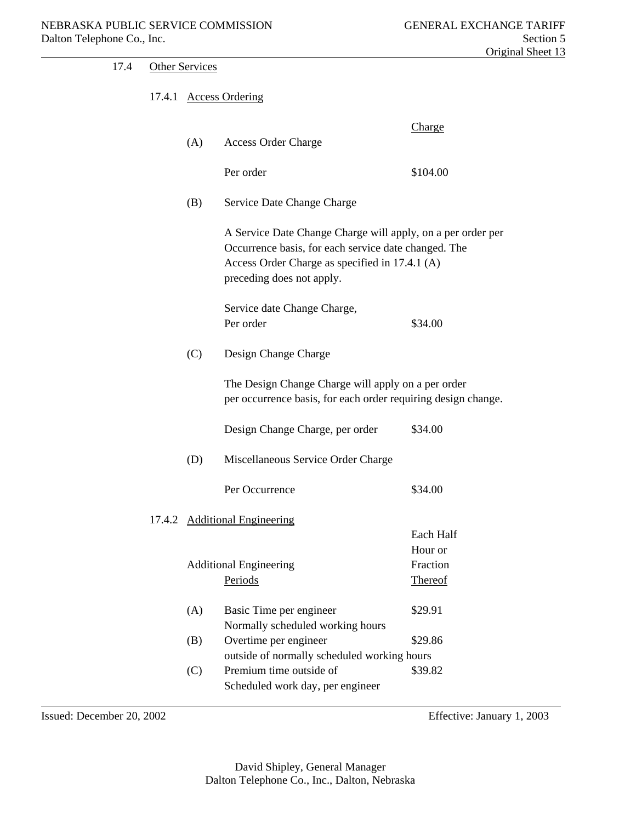| 17.4 | <b>Other Services</b> |                                                                                                                                                                                                    |                                |
|------|-----------------------|----------------------------------------------------------------------------------------------------------------------------------------------------------------------------------------------------|--------------------------------|
|      |                       | 17.4.1 Access Ordering                                                                                                                                                                             |                                |
|      | (A)                   | <b>Access Order Charge</b>                                                                                                                                                                         | Charge                         |
|      |                       | Per order                                                                                                                                                                                          | \$104.00                       |
|      | (B)                   | Service Date Change Charge                                                                                                                                                                         |                                |
|      |                       | A Service Date Change Charge will apply, on a per order per<br>Occurrence basis, for each service date changed. The<br>Access Order Charge as specified in 17.4.1 (A)<br>preceding does not apply. |                                |
|      |                       | Service date Change Charge,<br>Per order                                                                                                                                                           | \$34.00                        |
|      | (C)                   | Design Change Charge                                                                                                                                                                               |                                |
|      |                       | The Design Change Charge will apply on a per order<br>per occurrence basis, for each order requiring design change.                                                                                |                                |
|      |                       | Design Change Charge, per order                                                                                                                                                                    | \$34.00                        |
|      | (D)                   | Miscellaneous Service Order Charge                                                                                                                                                                 |                                |
|      |                       | Per Occurrence                                                                                                                                                                                     | \$34.00                        |
|      |                       | 17.4.2 Additional Engineering                                                                                                                                                                      | Each Half                      |
|      |                       | <b>Additional Engineering</b><br>Periods                                                                                                                                                           | Hour or<br>Fraction<br>Thereof |
|      | (A)                   | Basic Time per engineer<br>Normally scheduled working hours                                                                                                                                        | \$29.91                        |
|      | (B)                   | Overtime per engineer                                                                                                                                                                              | \$29.86                        |
|      |                       | outside of normally scheduled working hours                                                                                                                                                        |                                |
|      | (C)                   | Premium time outside of<br>Scheduled work day, per engineer                                                                                                                                        | \$39.82                        |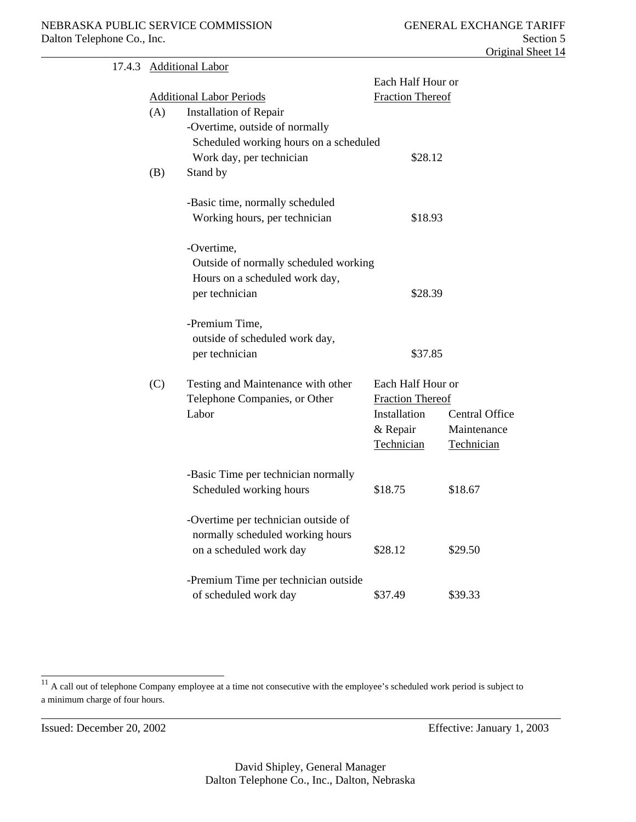| 17.4.3 |     | <b>Additional Labor</b>                |                         |                         |  |
|--------|-----|----------------------------------------|-------------------------|-------------------------|--|
|        |     |                                        | Each Half Hour or       |                         |  |
|        |     | <b>Additional Labor Periods</b>        |                         | <b>Fraction Thereof</b> |  |
|        | (A) | Installation of Repair                 |                         |                         |  |
|        |     | -Overtime, outside of normally         |                         |                         |  |
|        |     | Scheduled working hours on a scheduled |                         |                         |  |
|        |     | Work day, per technician               | \$28.12                 |                         |  |
|        | (B) | Stand by                               |                         |                         |  |
|        |     | -Basic time, normally scheduled        |                         |                         |  |
|        |     | Working hours, per technician          | \$18.93                 |                         |  |
|        |     | -Overtime,                             |                         |                         |  |
|        |     | Outside of normally scheduled working  |                         |                         |  |
|        |     | Hours on a scheduled work day,         |                         |                         |  |
|        |     | per technician                         | \$28.39                 |                         |  |
|        |     | -Premium Time,                         |                         |                         |  |
|        |     | outside of scheduled work day,         |                         |                         |  |
|        |     | per technician                         | \$37.85                 |                         |  |
|        | (C) | Testing and Maintenance with other     | Each Half Hour or       |                         |  |
|        |     | Telephone Companies, or Other          | <b>Fraction Thereof</b> |                         |  |
|        |     | Labor                                  | Installation            | Central Office          |  |
|        |     |                                        | & Repair                | Maintenance             |  |
|        |     |                                        | Technician              | Technician              |  |
|        |     | -Basic Time per technician normally    |                         |                         |  |
|        |     | Scheduled working hours                | \$18.75                 | \$18.67                 |  |
|        |     | -Overtime per technician outside of    |                         |                         |  |
|        |     | normally scheduled working hours       |                         |                         |  |
|        |     | on a scheduled work day                | \$28.12                 | \$29.50                 |  |
|        |     | -Premium Time per technician outside   |                         |                         |  |
|        |     | of scheduled work day                  | \$37.49                 | \$39.33                 |  |
|        |     |                                        |                         |                         |  |

l

 $\overline{11}$  A call out of telephone Company employee at a time not consecutive with the employee's scheduled work period is subject to a minimum charge of four hours.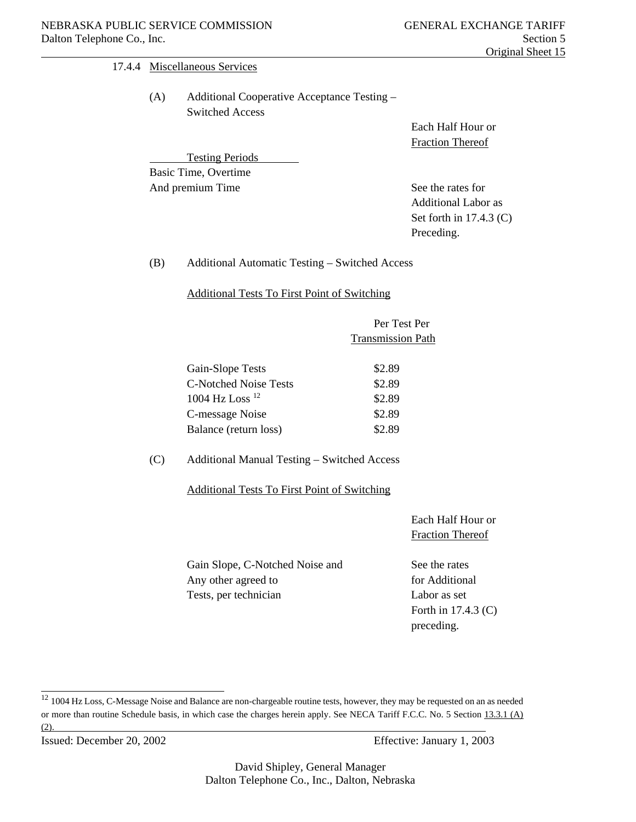# Original Sheet 15

#### 17.4.4 Miscellaneous Services

 (A) Additional Cooperative Acceptance Testing – Switched Access

Testing Periods

 Each Half Hour or Fraction Thereof

 Basic Time, Overtime And premium Time See the rates for

 Additional Labor as Set forth in 17.4.3 (C) Preceding.

(B) Additional Automatic Testing – Switched Access

Additional Tests To First Point of Switching

| Per Test Per             |
|--------------------------|
| <b>Transmission Path</b> |

| Gain-Slope Tests             | \$2.89 |
|------------------------------|--------|
| <b>C-Notched Noise Tests</b> | \$2.89 |
| 1004 Hz Loss <sup>12</sup>   | \$2.89 |
| C-message Noise              | \$2.89 |
| Balance (return loss)        | \$2.89 |

(C) Additional Manual Testing – Switched Access

Additional Tests To First Point of Switching

 Each Half Hour or Fraction Thereof

Gain Slope, C-Notched Noise and See the rates Any other agreed to for Additional Tests, per technician Labor as set

 Forth in 17.4.3 (C) preceding.

Issued: December 20, 2002 Effective: January 1, 2003

<sup>&</sup>lt;sup>12</sup> 1004 Hz Loss, C-Message Noise and Balance are non-chargeable routine tests, however, they may be requested on an as needed or more than routine Schedule basis, in which case the charges herein apply. See NECA Tariff F.C.C. No. 5 Section 13.3.1 (A) (2).